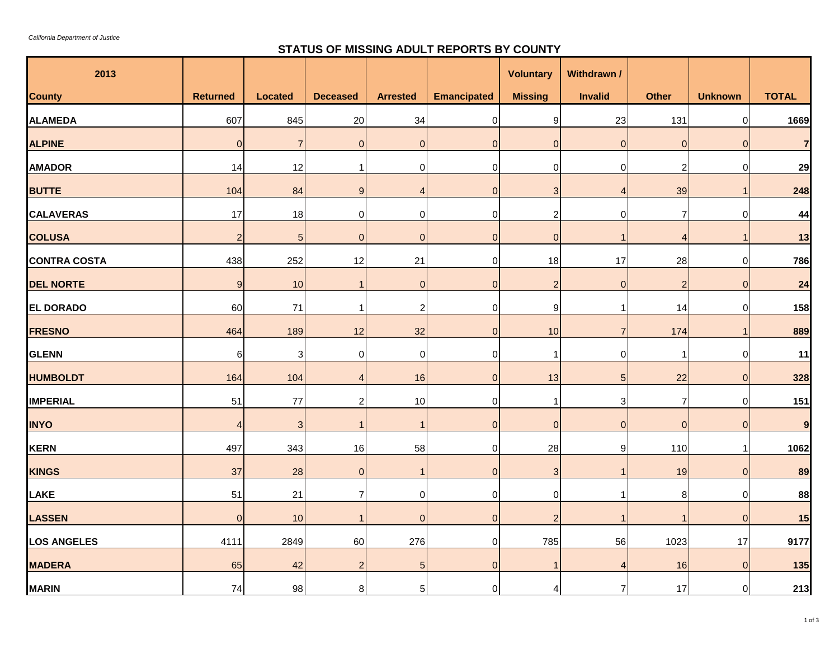$\sim$ 

## **STATUS OF MISSING ADULT REPORTS BY COUNTY**

| 2013                |                 |                 |                 |                 |                    | <b>Voluntary</b> | Withdrawn /    |                |                |                |
|---------------------|-----------------|-----------------|-----------------|-----------------|--------------------|------------------|----------------|----------------|----------------|----------------|
| <b>County</b>       | <b>Returned</b> | <b>Located</b>  | <b>Deceased</b> | <b>Arrested</b> | <b>Emancipated</b> | <b>Missing</b>   | <b>Invalid</b> | <b>Other</b>   | <b>Unknown</b> | <b>TOTAL</b>   |
| <b>ALAMEDA</b>      | 607             | 845             | 20              | 34              | $\pmb{0}$          | $\boldsymbol{9}$ | 23             | 131            | $\pmb{0}$      | 1669           |
| <b>ALPINE</b>       | $\overline{0}$  | $\overline{7}$  | $\overline{0}$  | $\overline{0}$  | $\overline{0}$     | $\overline{0}$   | $\mathbf{0}$   | $\mathbf 0$    | $\overline{0}$ | $\overline{7}$ |
| <b>AMADOR</b>       | 14              | 12              |                 | 0               | 0                  | $\mathbf 0$      | 0              | $\overline{c}$ | $\mathbf 0$    | 29             |
| <b>BUTTE</b>        | 104             | 84              | 9               | $\overline{4}$  | $\overline{0}$     | $\mathbf{3}$     | Δ              | 39             | $\mathbf{1}$   | 248            |
| <b>CALAVERAS</b>    | 17              | 18              | $\mathbf 0$     | $\mathbf 0$     | $\mathbf 0$        | $\mathbf{2}$     | $\Omega$       | $\overline{7}$ | $\mathbf 0$    | 44             |
| <b>COLUSA</b>       | $\overline{2}$  | $5\overline{)}$ | $\overline{0}$  | $\overline{0}$  | $\overline{0}$     | $\overline{0}$   |                | $\overline{4}$ | $\mathbf{1}$   | 13             |
| <b>CONTRA COSTA</b> | 438             | 252             | 12              | 21              | $\mathbf 0$        | 18               | 17             | 28             | $\pmb{0}$      | 786            |
| <b>DEL NORTE</b>    | 9               | 10              |                 | $\overline{0}$  | $\overline{0}$     | $\overline{2}$   | $\mathbf{0}$   | $\overline{2}$ | $\overline{0}$ | 24             |
| <b>EL DORADO</b>    | 60              | 71              |                 | $\overline{c}$  | $\mathbf 0$        | $\boldsymbol{9}$ |                | 14             | $\pmb{0}$      | 158            |
| <b>FRESNO</b>       | 464             | 189             | 12              | 32              | $\overline{0}$     | 10               |                | 174            | $\mathbf{1}$   | 889            |
| <b>GLENN</b>        | 6               | 3               | $\mathbf 0$     | $\mathbf 0$     | 0                  | 1                | $\Omega$       | -1             | $\mathbf 0$    | 11             |
| <b>HUMBOLDT</b>     | 164             | 104             | $\overline{4}$  | 16              | $\mathbf 0$        | 13               | 5              | 22             | $\overline{0}$ | 328            |
| <b>IMPERIAL</b>     | 51              | 77              | $\overline{c}$  | 10              | 0                  | 1                | 3              | $\overline{7}$ | $\overline{0}$ | 151            |
| <b>INYO</b>         | $\overline{4}$  | $\mathbf{3}$    |                 | $\overline{1}$  | $\overline{0}$     | $\overline{0}$   | $\mathbf{0}$   | $\mathbf 0$    | $\overline{0}$ | $\mathbf{9}$   |
| KERN                | 497             | 343             | 16              | 58              | $\mathbf 0$        | 28               | 9              | 110            | $\mathbf{1}$   | 1062           |
| <b>KINGS</b>        | 37              | 28              | $\overline{0}$  | $\overline{1}$  | $\overline{0}$     | $\mathbf{3}$     |                | 19             | $\overline{0}$ | 89             |
| <b>LAKE</b>         | 51              | 21              | $\overline{7}$  | $\mathbf 0$     | $\mathbf 0$        | $\mathbf 0$      |                | 8              | $\mathbf 0$    | 88             |
| <b>LASSEN</b>       | $\overline{0}$  | 10              |                 | $\overline{0}$  | $\overline{0}$     | $\overline{2}$   |                | -1             | $\overline{0}$ | 15             |
| <b>LOS ANGELES</b>  | 4111            | 2849            | 60              | 276             | $\mathbf 0$        | 785              | 56             | 1023           | 17             | 9177           |
| <b>MADERA</b>       | 65              | 42              | $\overline{2}$  | $\overline{5}$  | $\overline{0}$     | -1               |                | 16             | $\overline{0}$ | $135$          |
| <b>MARIN</b>        | 74              | 98              | 8               | $\sqrt{5}$      | $\mathbf 0$        | $\overline{4}$   |                | 17             | $\mathbf 0$    | 213            |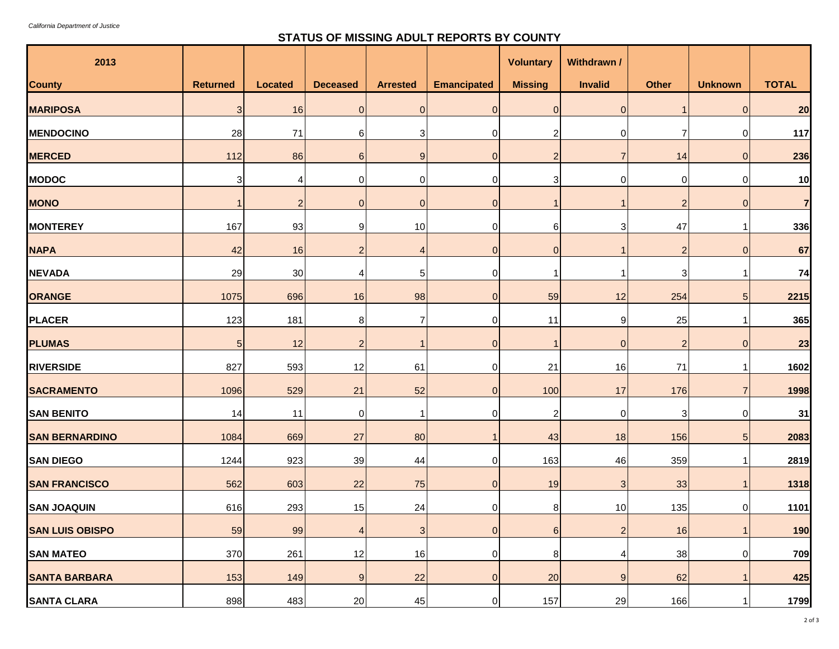## **STATUS OF MISSING ADULT REPORTS BY COUNTY**

| 2013                   |                 |                |                 |                 |                    | <b>Voluntary</b>          | Withdrawn /    |                |                 |                |
|------------------------|-----------------|----------------|-----------------|-----------------|--------------------|---------------------------|----------------|----------------|-----------------|----------------|
| <b>County</b>          | <b>Returned</b> | <b>Located</b> | <b>Deceased</b> | <b>Arrested</b> | <b>Emancipated</b> | <b>Missing</b>            | <b>Invalid</b> | <b>Other</b>   | <b>Unknown</b>  | <b>TOTAL</b>   |
| <b>MARIPOSA</b>        | $\mathbf{3}$    | 16             | $\overline{0}$  | $\overline{0}$  | $\overline{0}$     | $\overline{0}$            | $\overline{0}$ | $\mathbf{1}$   | $\overline{0}$  | 20             |
| <b>MENDOCINO</b>       | 28              | 71             | 6               | 3               | $\mathbf 0$        | $\overline{2}$            | $\Omega$       | $\overline{7}$ | $\pmb{0}$       | 117            |
| <b>MERCED</b>          | 112             | 86             | 6 <sup>1</sup>  | 9 <sub>l</sub>  | $\overline{0}$     | $\overline{2}$            |                | 14             | $\overline{0}$  | 236            |
| <b>MODOC</b>           | $\mathbf{3}$    | 4              | $\overline{0}$  | $\Omega$        | $\mathbf 0$        | $\ensuremath{\mathsf{3}}$ | 0              | $\pmb{0}$      | $\pmb{0}$       | 10             |
| <b>MONO</b>            |                 | $\overline{2}$ | 0               | $\Omega$        | $\mathbf 0$        |                           |                | $\overline{c}$ | $\mathbf{0}$    | $\overline{7}$ |
| <b>MONTEREY</b>        | 167             | 93             | 9               | 10              | $\mathbf 0$        | 6                         | 3              | 47             | -1              | 336            |
| <b>NAPA</b>            | 42              | 16             | 2               | Δ               | $\mathbf 0$        | $\overline{0}$            |                | $\overline{c}$ | $\mathbf 0$     | 67             |
| <b>NEVADA</b>          | 29              | 30             | Δ               | 5               | $\mathbf 0$        |                           |                | 3              |                 | 74             |
| <b>ORANGE</b>          | 1075            | 696            | 16              | 98              | $\overline{0}$     | 59                        | 12             | 254            | $5\phantom{.0}$ | 2215           |
| PLACER                 | 123             | 181            | 8               |                 | $\mathbf 0$        | 11                        | 9              | 25             |                 | 365            |
| <b>PLUMAS</b>          | 5 <sub>5</sub>  | 12             | $\overline{c}$  |                 | $\mathbf 0$        |                           | $\mathbf 0$    | $\overline{c}$ | $\mathbf 0$     | 23             |
| <b>RIVERSIDE</b>       | 827             | 593            | 12              | 61              | $\overline{0}$     | 21                        | 16             | $71$           | -1              | 1602           |
| <b>SACRAMENTO</b>      | 1096            | 529            | 21              | 52              | $\mathbf 0$        | 100                       | 17             | 176            | $\overline{7}$  | 1998           |
| <b>SAN BENITO</b>      | 14              | 11             | $\overline{0}$  |                 | $\mathbf 0$        | $\overline{c}$            | 0              | 3              | $\mathbf 0$     | 31             |
| <b>SAN BERNARDINO</b>  | 1084            | 669            | 27              | 80              | $\mathbf{1}$       | 43                        | 18             | 156            | $5\phantom{.0}$ | 2083           |
| <b>SAN DIEGO</b>       | 1244            | 923            | 39              | 44              | $\overline{0}$     | 163                       | 46             | 359            |                 | 2819           |
| <b>SAN FRANCISCO</b>   | 562             | 603            | 22              | 75              | $\overline{0}$     | 19                        | 3              | 33             | -1              | 1318           |
| <b>SAN JOAQUIN</b>     | 616             | 293            | 15              | 24              | $\mathbf 0$        | 8                         | 10             | 135            | $\mathbf 0$     | 1101           |
| <b>SAN LUIS OBISPO</b> | 59              | 99             | $\overline{4}$  | 3 <sup>1</sup>  | $\overline{0}$     | $6 \overline{6}$          | $\overline{a}$ | 16             |                 | 190            |
| <b>SAN MATEO</b>       | 370             | 261            | 12              | 16              | $\overline{0}$     | $\bf 8$                   |                | 38             | $\pmb{0}$       | 709            |
| <b>SANTA BARBARA</b>   | 153             | 149            | 9               | 22              | $\overline{0}$     | 20                        | 9              | 62             | -1              | 425            |
| <b>SANTA CLARA</b>     | 898             | 483            | 20              | 45              | 0                  | 157                       | 29             | 166            |                 | 1799           |